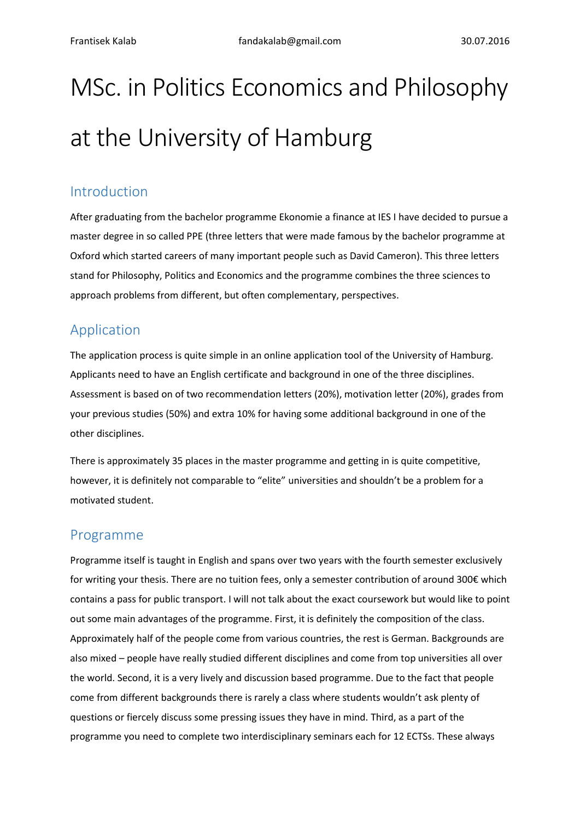# MSc. in Politics Economics and Philosophy at the University of Hamburg

### Introduction

After graduating from the bachelor programme Ekonomie a finance at IES I have decided to pursue a master degree in so called PPE (three letters that were made famous by the bachelor programme at Oxford which started careers of many important people such as David Cameron). This three letters stand for Philosophy, Politics and Economics and the programme combines the three sciences to approach problems from different, but often complementary, perspectives.

## Application

The application process is quite simple in an online application tool of the University of Hamburg. Applicants need to have an English certificate and background in one of the three disciplines. Assessment is based on of two recommendation letters (20%), motivation letter (20%), grades from your previous studies (50%) and extra 10% for having some additional background in one of the other disciplines.

There is approximately 35 places in the master programme and getting in is quite competitive, however, it is definitely not comparable to "elite" universities and shouldn't be a problem for a motivated student.

#### Programme

Programme itself is taught in English and spans over two years with the fourth semester exclusively for writing your thesis. There are no tuition fees, only a semester contribution of around 300€ which contains a pass for public transport. I will not talk about the exact coursework but would like to point out some main advantages of the programme. First, it is definitely the composition of the class. Approximately half of the people come from various countries, the rest is German. Backgrounds are also mixed – people have really studied different disciplines and come from top universities all over the world. Second, it is a very lively and discussion based programme. Due to the fact that people come from different backgrounds there is rarely a class where students wouldn't ask plenty of questions or fiercely discuss some pressing issues they have in mind. Third, as a part of the programme you need to complete two interdisciplinary seminars each for 12 ECTSs. These always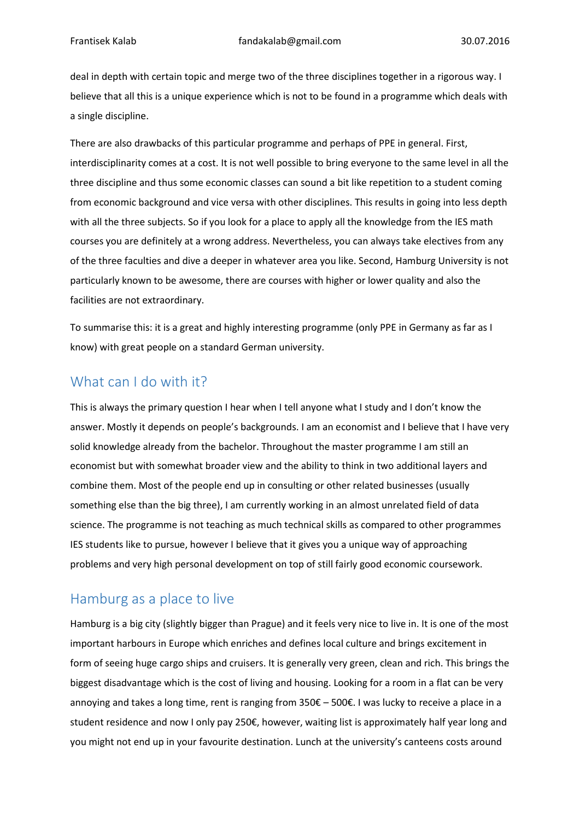deal in depth with certain topic and merge two of the three disciplines together in a rigorous way. I believe that all this is a unique experience which is not to be found in a programme which deals with a single discipline.

There are also drawbacks of this particular programme and perhaps of PPE in general. First, interdisciplinarity comes at a cost. It is not well possible to bring everyone to the same level in all the three discipline and thus some economic classes can sound a bit like repetition to a student coming from economic background and vice versa with other disciplines. This results in going into less depth with all the three subjects. So if you look for a place to apply all the knowledge from the IES math courses you are definitely at a wrong address. Nevertheless, you can always take electives from any of the three faculties and dive a deeper in whatever area you like. Second, Hamburg University is not particularly known to be awesome, there are courses with higher or lower quality and also the facilities are not extraordinary.

To summarise this: it is a great and highly interesting programme (only PPE in Germany as far as I know) with great people on a standard German university.

## What can I do with it?

This is always the primary question I hear when I tell anyone what I study and I don't know the answer. Mostly it depends on people's backgrounds. I am an economist and I believe that I have very solid knowledge already from the bachelor. Throughout the master programme I am still an economist but with somewhat broader view and the ability to think in two additional layers and combine them. Most of the people end up in consulting or other related businesses (usually something else than the big three), I am currently working in an almost unrelated field of data science. The programme is not teaching as much technical skills as compared to other programmes IES students like to pursue, however I believe that it gives you a unique way of approaching problems and very high personal development on top of still fairly good economic coursework.

## Hamburg as a place to live

Hamburg is a big city (slightly bigger than Prague) and it feels very nice to live in. It is one of the most important harbours in Europe which enriches and defines local culture and brings excitement in form of seeing huge cargo ships and cruisers. It is generally very green, clean and rich. This brings the biggest disadvantage which is the cost of living and housing. Looking for a room in a flat can be very annoying and takes a long time, rent is ranging from 350€ – 500€. I was lucky to receive a place in a student residence and now I only pay 250€, however, waiting list is approximately half year long and you might not end up in your favourite destination. Lunch at the university's canteens costs around